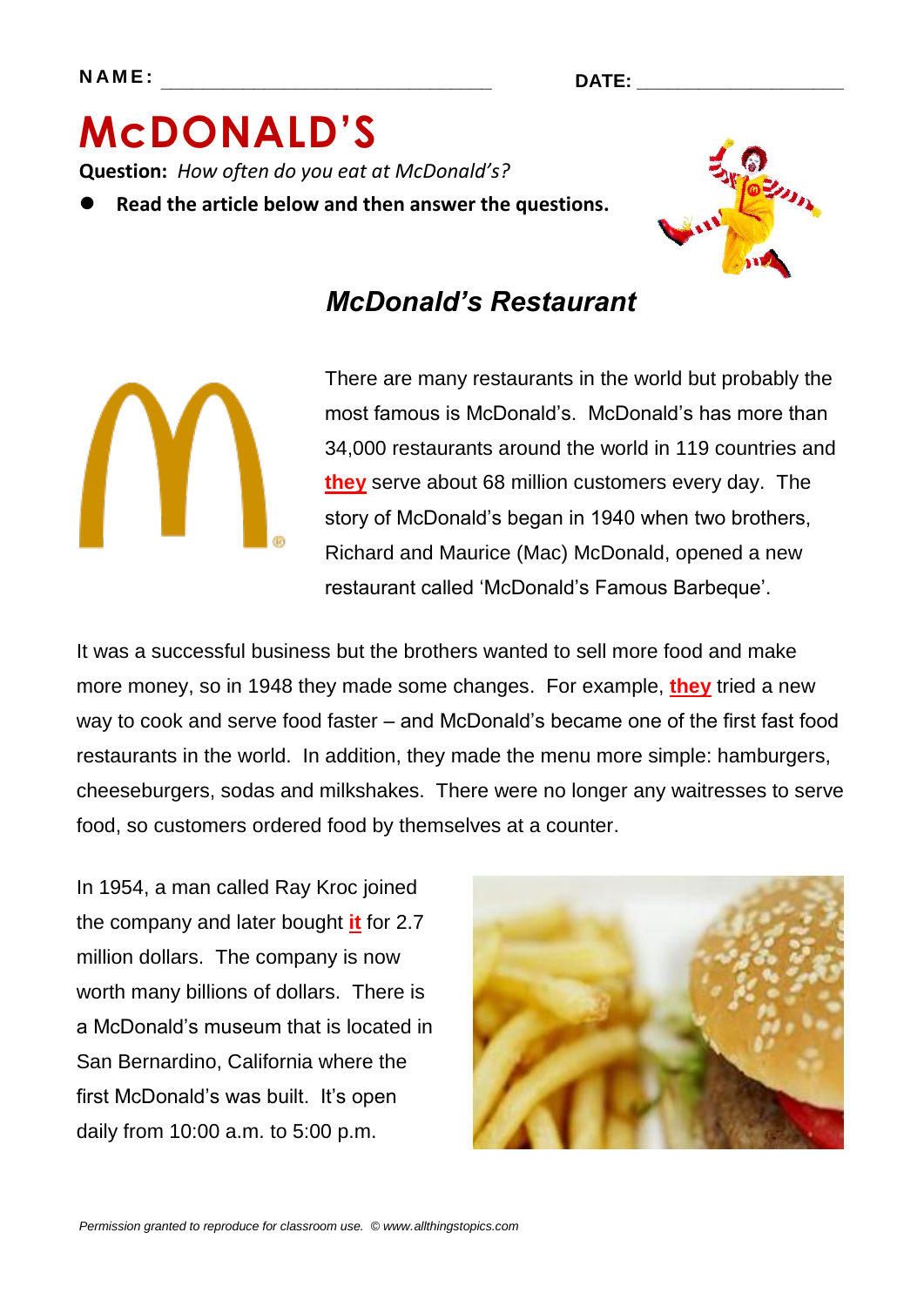# **McDONALD'S Question:** *How often do you eat at McDonald's?*

**Read the article below and then answer the questions.**



## *McDonald's Restaurant*

There are many restaurants in the world but probably the most famous is McDonald's. McDonald's has more than 34,000 restaurants around the world in 119 countries and **they** serve about 68 million customers every day. The story of McDonald's began in 1940 when two brothers, Richard and Maurice (Mac) McDonald, opened a new restaurant called 'McDonald's Famous Barbeque'.

It was a successful business but the brothers wanted to sell more food and make more money, so in 1948 they made some changes. For example, **they** tried a new way to cook and serve food faster – and McDonald's became one of the first fast food restaurants in the world. In addition, they made the menu more simple: hamburgers, cheeseburgers, sodas and milkshakes. There were no longer any waitresses to serve food, so customers ordered food by themselves at a counter.

In 1954, a man called Ray Kroc joined the company and later bought **it** for 2.7 million dollars. The company is now worth many billions of dollars. There is a McDonald's museum that is located in San Bernardino, California where the first McDonald's was built. It's open daily from 10:00 a.m. to 5:00 p.m.

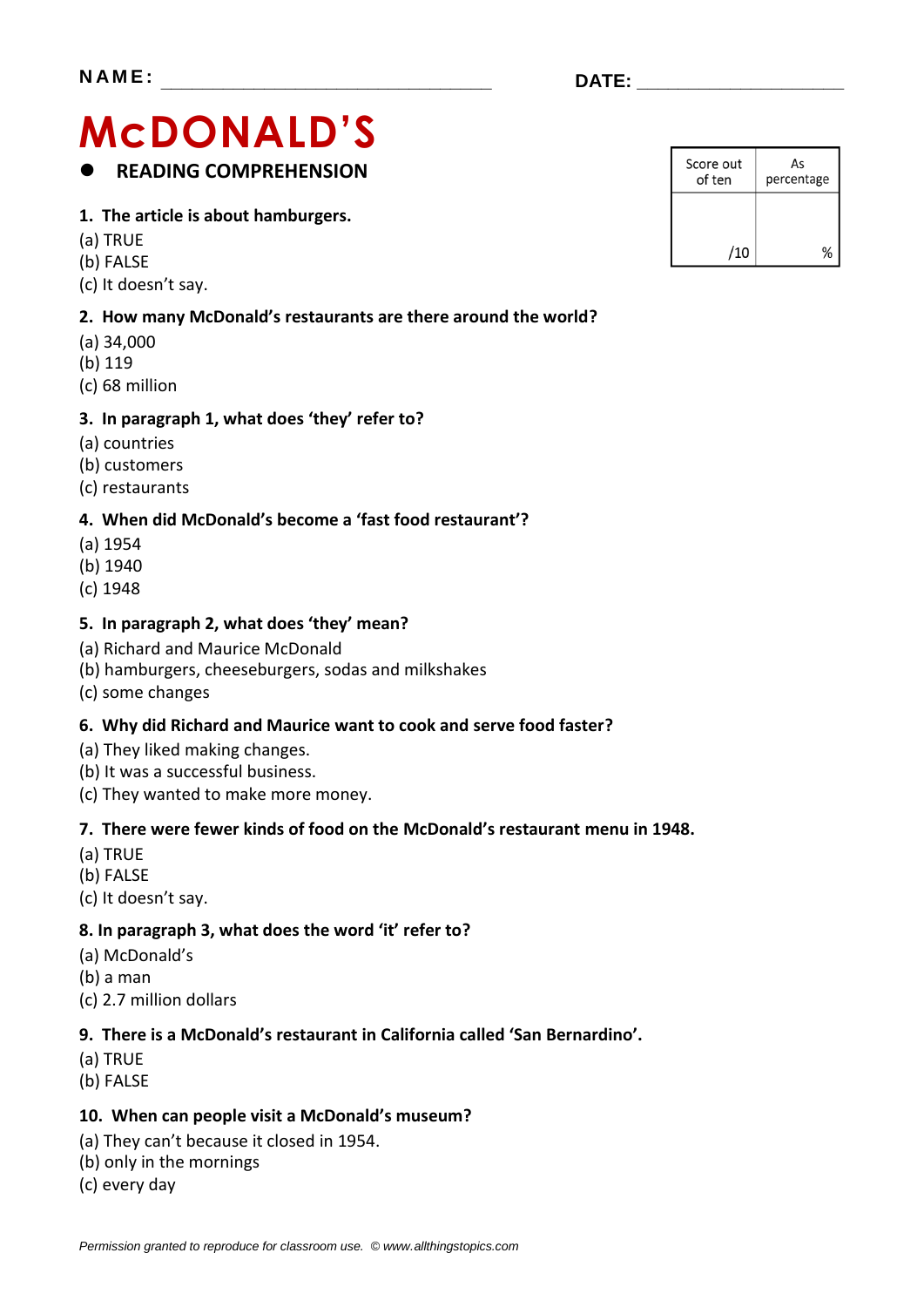## **McDONALD'S READING COMPREHENSION**

#### **1. The article is about hamburgers.**

- (a) TRUE
- (b) FALSE
- (c) It doesn't say.

#### **2. How many McDonald's restaurants are there around the world?**

- (a) 34,000
- (b) 119
- (c) 68 million

#### **3. In paragraph 1, what does 'they' refer to?**

- (a) countries
- (b) customers
- (c) restaurants

#### **4. When did McDonald's become a 'fast food restaurant'?**

- (a) 1954
- (b) 1940
- (c) 1948

#### **5. In paragraph 2, what does 'they' mean?**

- (a) Richard and Maurice McDonald
- (b) hamburgers, cheeseburgers, sodas and milkshakes
- (c) some changes

#### **6. Why did Richard and Maurice want to cook and serve food faster?**

- (a) They liked making changes.
- (b) It was a successful business.
- (c) They wanted to make more money.

#### **7. There were fewer kinds of food on the McDonald's restaurant menu in 1948.**

- (a) TRUE
- (b) FALSE
- (c) It doesn't say.

#### **8. In paragraph 3, what does the word 'it' refer to?**

- (a) McDonald's
- (b) a man
- (c) 2.7 million dollars

#### **9. There is a McDonald's restaurant in California called 'San Bernardino'.**

- (a) TRUE
- (b) FALSE

#### **10. When can people visit a McDonald's museum?**

- (a) They can't because it closed in 1954.
- (b) only in the mornings
- (c) every day

| Score out<br>of ten | As<br>percentage |  |
|---------------------|------------------|--|
|                     |                  |  |
| /10                 |                  |  |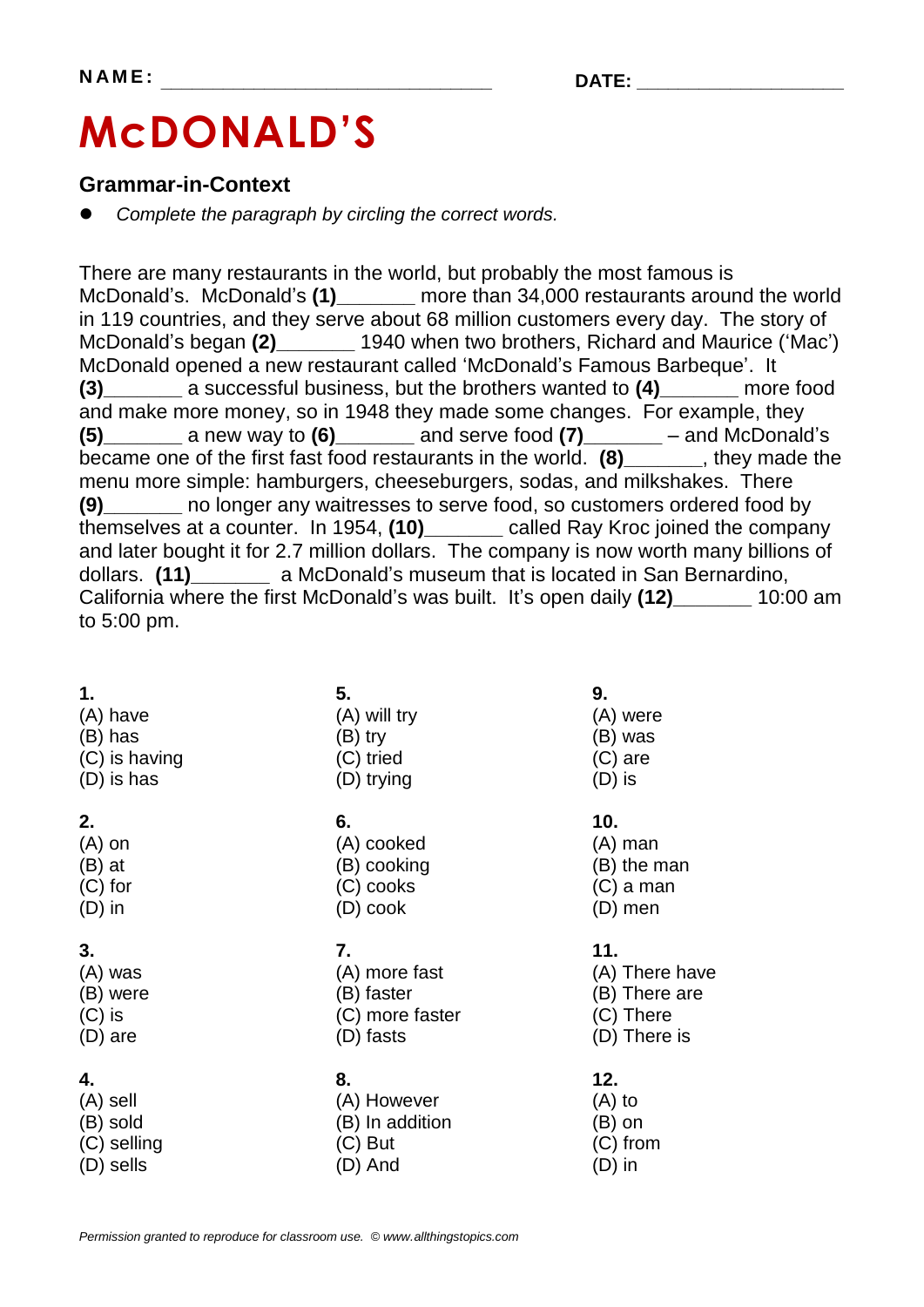# **McDONALD'S**

### **Grammar-in-Context**

*Complete the paragraph by circling the correct words.*

There are many restaurants in the world, but probably the most famous is McDonald's. McDonald's **(1)\_\_\_\_\_\_\_** more than 34,000 restaurants around the world in 119 countries, and they serve about 68 million customers every day. The story of McDonald's began **(2)\_\_\_\_\_\_\_** 1940 when two brothers, Richard and Maurice ('Mac') McDonald opened a new restaurant called 'McDonald's Famous Barbeque'. It **(3)\_\_\_\_\_\_\_** a successful business, but the brothers wanted to **(4)\_\_\_\_\_\_\_** more food and make more money, so in 1948 they made some changes. For example, they **(5)\_\_\_\_\_\_\_** a new way to **(6)\_\_\_\_\_\_\_** and serve food **(7)\_\_\_\_\_\_\_** – and McDonald's became one of the first fast food restaurants in the world. **(8)\_\_\_\_\_\_\_**, they made the menu more simple: hamburgers, cheeseburgers, sodas, and milkshakes. There **(9)\_\_\_\_\_\_\_** no longer any waitresses to serve food, so customers ordered food by themselves at a counter. In 1954, **(10)\_\_\_\_\_\_\_** called Ray Kroc joined the company and later bought it for 2.7 million dollars. The company is now worth many billions of dollars. **(11)\_\_\_\_\_\_\_** a McDonald's museum that is located in San Bernardino, California where the first McDonald's was built. It's open daily **(12)\_\_\_\_\_\_\_** 10:00 am to 5:00 pm.

| 1.            | 5.              | 9.             |
|---------------|-----------------|----------------|
| (A) have      | (A) will try    | (A) were       |
| (B) has       | (B) try         | (B) was        |
| (C) is having | (C) tried       | $(C)$ are      |
| (D) is has    | (D) trying      | $(D)$ is       |
| 2.            | 6.              | 10.            |
| $(A)$ on      | (A) cooked      | (A) man        |
| $(B)$ at      | (B) cooking     | (B) the man    |
| $(C)$ for     | (C) cooks       | $(C)$ a man    |
| $(D)$ in      | $(D)$ cook      | (D) men        |
| 3.            | 7.              | 11.            |
| (A) was       | (A) more fast   | (A) There have |
| (B) were      | (B) faster      | (B) There are  |
| $(C)$ is      | (C) more faster | (C) There      |
| (D) are       | (D) fasts       | (D) There is   |
| 4.            | 8.              | 12.            |
| (A) sell      | (A) However     | $(A)$ to       |
| (B) sold      | (B) In addition | (B) on         |
| (C) selling   | (C) But         | $(C)$ from     |
| (D) sells     | (D) And         | (D) in         |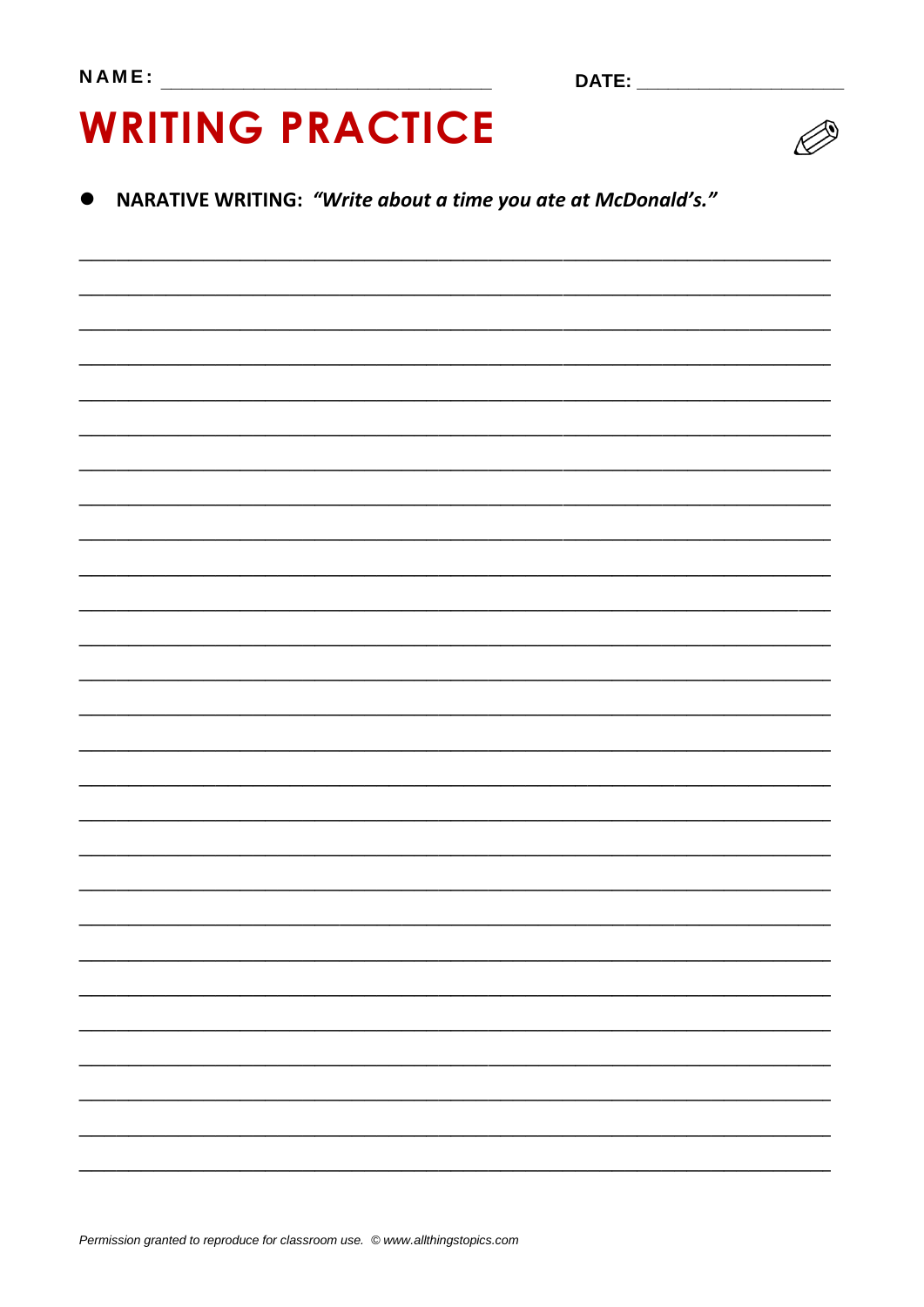# **WRITING PRACTICE**



### NARATIVE WRITING: "Write about a time you ate at McDonald's."